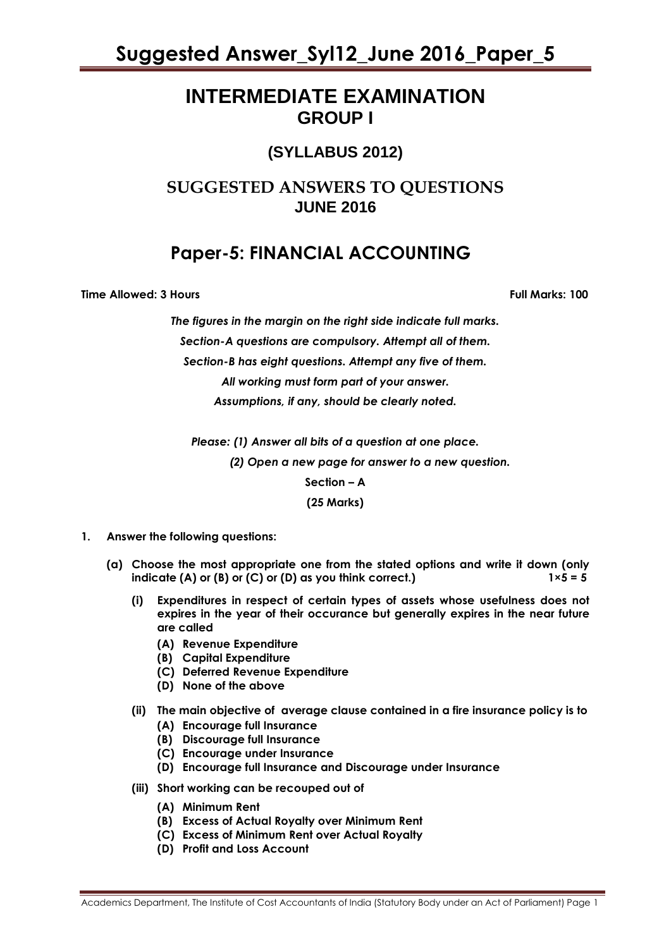### **INTERMEDIATE EXAMINATION GROUP I**

### **(SYLLABUS 2012)**

### **SUGGESTED ANSWERS TO QUESTIONS JUNE 2016**

### **Paper-5: FINANCIAL ACCOUNTING**

**Time Allowed: 3 Hours Full Marks: 100**

*The figures in the margin on the right side indicate full marks. Section-A questions are compulsory. Attempt all of them. Section-B has eight questions. Attempt any five of them. All working must form part of your answer. Assumptions, if any, should be clearly noted.*

*Please: (1) Answer all bits of a question at one place.*

 *(2) Open a new page for answer to a new question.*

**Section – A**

**(25 Marks)**

- **1. Answer the following questions:**
	- **(a) Choose the most appropriate one from the stated options and write it down (only indicate (A) or (B) or (C) or (D) as you think correct.)**  $1 \times 5 = 5$ 
		- **(i) Expenditures in respect of certain types of assets whose usefulness does not expires in the year of their occurance but generally expires in the near future are called**
			- **(A) Revenue Expenditure**
			- **(B) Capital Expenditure**
			- **(C) Deferred Revenue Expenditure**
			- **(D) None of the above**
		- **(ii) The main objective of average clause contained in a fire insurance policy is to** 
			- **(A) Encourage full Insurance**
			- **(B) Discourage full Insurance**
			- **(C) Encourage under Insurance**
			- **(D) Encourage full Insurance and Discourage under Insurance**
		- **(iii) Short working can be recouped out of** 
			- **(A) Minimum Rent**
			- **(B) Excess of Actual Royalty over Minimum Rent**
			- **(C) Excess of Minimum Rent over Actual Royalty**
			- **(D) Profit and Loss Account**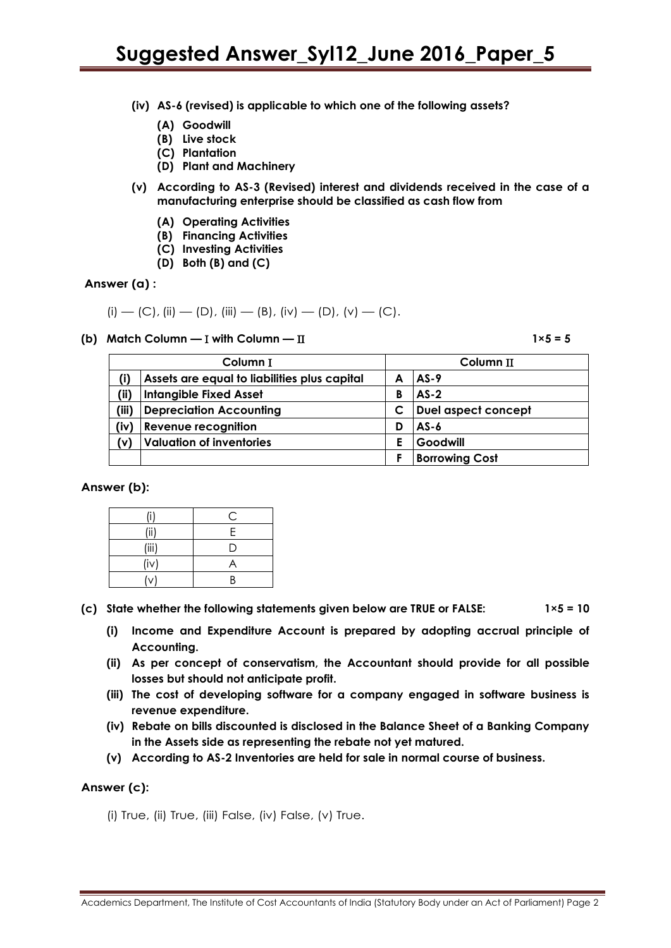- **(iv) AS-6 (revised) is applicable to which one of the following assets?**
	- **(A) Goodwill**
	- **(B) Live stock**
	- **(C) Plantation**
	- **(D) Plant and Machinery**
- **(v) According to AS-3 (Revised) interest and dividends received in the case of a manufacturing enterprise should be classified as cash flow from**
	- **(A) Operating Activities**
	- **(B) Financing Activities**
	- **(C) Investing Activities**
	- **(D) Both (B) and (C)**

#### **Answer (a) :**

(i) — (C),(ii) — (D), (iii) — (B), (iv) — (D), (v) — (C).

(b) Match Column  $- I$  with Column  $- II$ 

|       | Column I                                     |   | Column II             |  |  |  |
|-------|----------------------------------------------|---|-----------------------|--|--|--|
| (i)   | Assets are equal to liabilities plus capital |   | AS-9                  |  |  |  |
| (iii) | <b>Intangible Fixed Asset</b>                | В | $AS-2$                |  |  |  |
| (iii) | <b>Depreciation Accounting</b>               |   | Duel aspect concept   |  |  |  |
| (iv)  | <b>Revenue recognition</b>                   | D | AS-6                  |  |  |  |
| (V)   | <b>Valuation of inventories</b>              | E | Goodwill              |  |  |  |
|       |                                              | Е | <b>Borrowing Cost</b> |  |  |  |

**Answer (b):**

| (i)   | С              |
|-------|----------------|
| (iii) | Е              |
| (iii) | I)             |
| (iv)  | $\overline{ }$ |
| (v    | R              |

(c) State whether the following statements given below are TRUE or FALSE:  $1 \times 5 = 10$ 

- **(i) Income and Expenditure Account is prepared by adopting accrual principle of Accounting.**
- **(ii) As per concept of conservatism, the Accountant should provide for all possible losses but should not anticipate profit.**
- **(iii) The cost of developing software for a company engaged in software business is revenue expenditure.**
- **(iv) Rebate on bills discounted is disclosed in the Balance Sheet of a Banking Company in the Assets side as representing the rebate not yet matured.**
- **(v) According to AS-2 Inventories are held for sale in normal course of business.**

#### **Answer (c):**

(i) True, (ii) True, (iii) False, (iv) False, (v) True.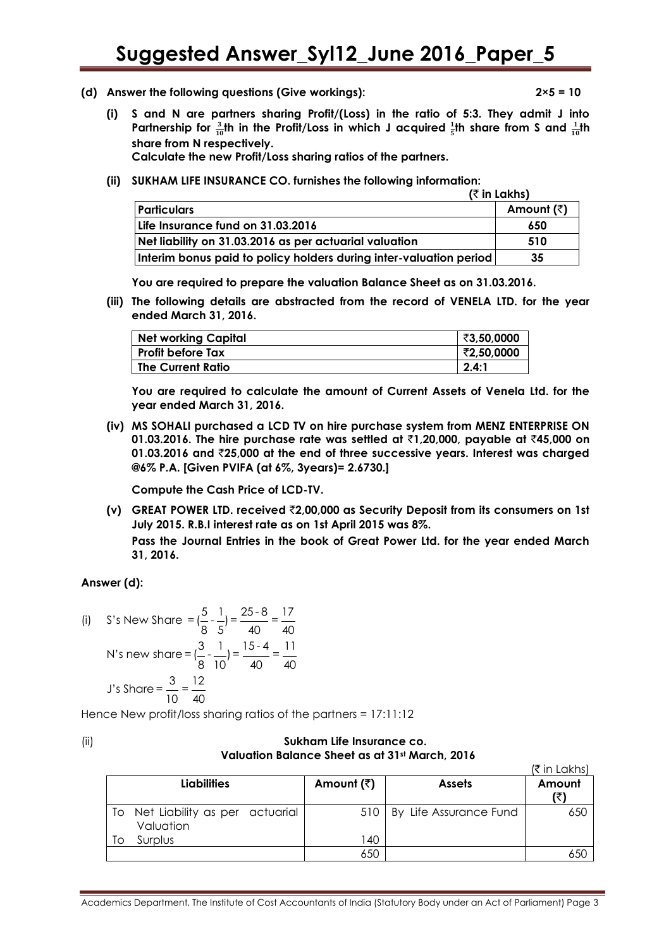(d) Answer the following questions (Give workings):

$$
2\times 5=10
$$

**(i) S and N are partners sharing Profit/(Loss) in the ratio of 5:3. They admit J into**  Partnership for  $\frac{3}{10}$ th in the Profit/Loss in which J acquired  $\frac{1}{5}$ th share from S and  $\frac{1}{10}$ th **share from N respectively.**

**Calculate the new Profit/Loss sharing ratios of the partners.**

**(ii) SUKHAM LIFE INSURANCE CO. furnishes the following information:**

|                                                                    | $($ ₹ in Lakhs) |  |
|--------------------------------------------------------------------|-----------------|--|
| <b>Particulars</b>                                                 | Amount (₹)      |  |
| Life Insurance fund on 31.03.2016                                  | 650             |  |
| Net liability on 31.03.2016 as per actuarial valuation             | 510             |  |
| Interim bonus paid to policy holders during inter-valuation period | 35              |  |

**You are required to prepare the valuation Balance Sheet as on 31.03.2016.**

**(iii) The following details are abstracted from the record of VENELA LTD. for the year ended March 31, 2016.**

| <b>Net working Capital</b> | ₹3,50,0000 |
|----------------------------|------------|
| <b>Profit before Tax</b>   | ₹2,50,0000 |
| <b>The Current Ratio</b>   | 2.4:1      |

**You are required to calculate the amount of Current Assets of Venela Ltd. for the year ended March 31, 2016.**

**(iv) MS SOHALI purchased a LCD TV on hire purchase system from MENZ ENTERPRISE ON 01.03.2016. The hire purchase rate was settled at** `**1,20,000, payable at** `**45,000 on 01.03.2016 and** `**25,000 at the end of three successive years. Interest was charged @6% P.A. [Given PVIFA (at 6%, 3years)= 2.6730.]**

**Compute the Cash Price of LCD-TV.**

**(v) GREAT POWER LTD. received** `**2,00,000 as Security Deposit from its consumers on 1st July 2015. R.B.I interest rate as on 1st April 2015 was 8%.**

**Pass the Journal Entries in the book of Great Power Ltd. for the year ended March 31, 2016.**

**Answer (d):** 

(i) S's New Share = 
$$
(\frac{5}{8} - \frac{1}{5}) = \frac{25 \cdot 8}{40} = \frac{17}{40}
$$
  
N's new share =  $(\frac{3}{8} - \frac{1}{10}) = \frac{15 \cdot 4}{40} = \frac{11}{40}$   
J's Share =  $\frac{3}{10} = \frac{12}{40}$ 

Hence New profit/loss sharing ratios of the partners = 17:11:12

#### (ii) **Sukham Life Insurance co. Valuation Balance Sheet as at 31st March, 2016**

|    |                                             |                    |                        | (₹ in Lakhs) |
|----|---------------------------------------------|--------------------|------------------------|--------------|
|    | <b>Liabilities</b>                          | Amount $(\bar{z})$ | <b>Assets</b>          | Amount       |
| To | Net Liability as per actuarial<br>Valuation | 510                | By Life Assurance Fund | 650          |
| Τo | Surplus                                     | 140                |                        |              |
|    |                                             | 650                |                        | 65C          |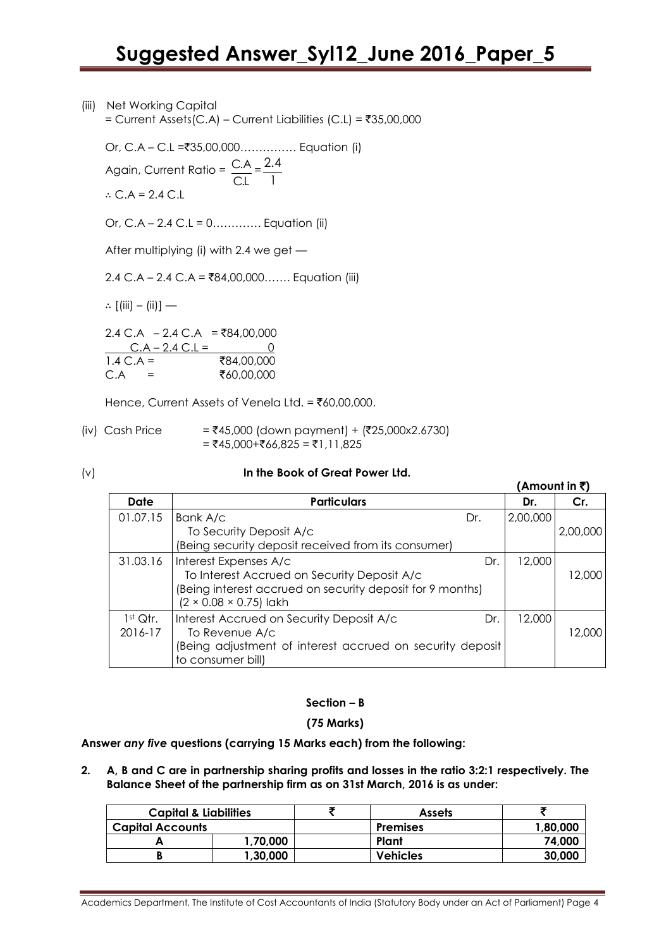(iii) Net Working Capital = Current Assets(C.A) – Current Liabilities (C.L) =  $\overline{5}35,00,000$ 

1

Or, C.A – C.L =`35,00,000…………… Equation (i)  $\frac{C.A}{T}$  = 2.4

Again, Current Ratio = C.L

∴ C.A = 2.4 C.L

Or, C.A – 2.4 C.L = 0…………. Equation (ii)

After multiplying (i) with 2.4 we get —

2.4 C.A – 2.4 C.A = ₹84,00,000……. Equation (iii)

∴  $[(iii) - (ii)]$  —

 $2.4$  C.A – 2.4 C.A = ₹84,00,000 C.A – 2.4 C.L = 0<br>C.A = ₹84.00.000  $\overline{1.4}$  C.A =  $C.A =$  ₹60,00,000

Hence, Current Assets of Venela Ltd. =  $\bar{z}60,00,000$ .

- (iv) Cash Price  $=$   $\overline{545,000}$  (down payment) + ( $\overline{725,000x2.6730}$ )  $= ₹45,000+₹66,825 = ₹1,11,825$
- 

#### (v) **In the Book of Great Power Ltd.**

|                                 |                                                                                                                                                                         |     | (Amount in ₹) |          |
|---------------------------------|-------------------------------------------------------------------------------------------------------------------------------------------------------------------------|-----|---------------|----------|
| Date                            | <b>Particulars</b>                                                                                                                                                      |     | Dr.           | Cr.      |
| 01.07.15                        | Bank A/c<br>To Security Deposit A/c<br>(Being security deposit received from its consumer)                                                                              | Dr. | 2,00,000      | 2,00,000 |
| 31.03.16                        | Interest Expenses A/c<br>To Interest Accrued on Security Deposit A/c<br>(Being interest accrued on security deposit for 9 months)<br>$(2 \times 0.08 \times 0.75)$ lakh | Dr. | 12,000        | 12,000   |
| 1 <sup>st</sup> Qtr.<br>2016-17 | Interest Accrued on Security Deposit A/c<br>To Revenue A/c<br>Being adjustment of interest accrued on security deposit<br>to consumer bill)                             | Dr. | 12,000        | 12,000   |

#### **Section – B**

#### **(75 Marks)**

**Answer** *any five* **questions (carrying 15 Marks each) from the following:**

**2. A, B and C are in partnership sharing profits and losses in the ratio 3:2:1 respectively. The Balance Sheet of the partnership firm as on 31st March, 2016 is as under:**

| <b>Capital &amp; Liabilities</b> |          |  | <b>Assets</b>   |          |  |
|----------------------------------|----------|--|-----------------|----------|--|
| <b>Capital Accounts</b>          |          |  | <b>Premises</b> | 1,80,000 |  |
|                                  | 1,70,000 |  | Plant           | 74,000   |  |
| 1,30,000                         |          |  | <b>Vehicles</b> | 30,000   |  |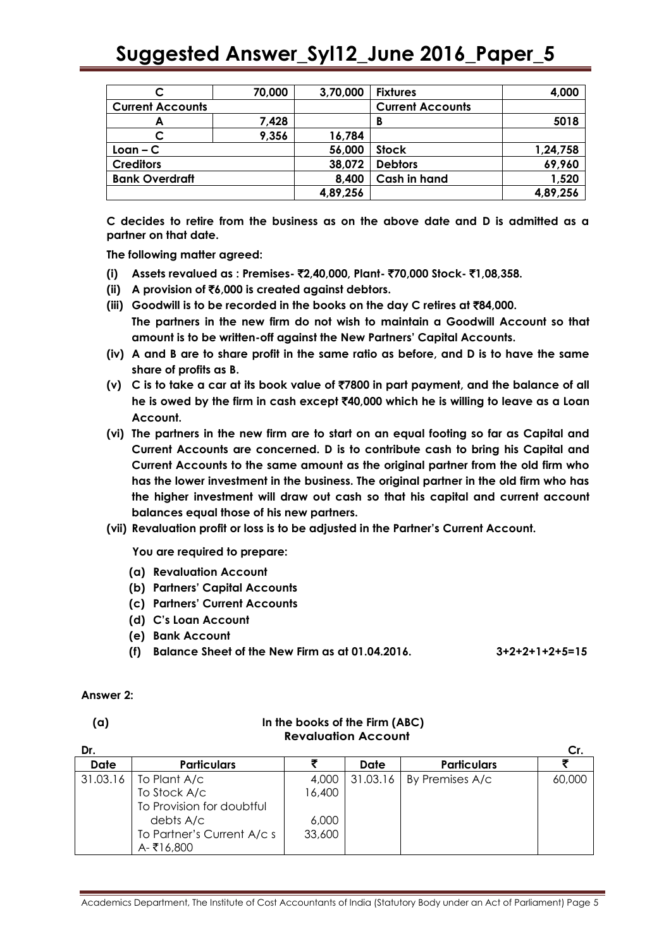| 70,000                  |       | 3,70,000 | <b>Fixtures</b>         | 4,000    |
|-------------------------|-------|----------|-------------------------|----------|
| <b>Current Accounts</b> |       |          | <b>Current Accounts</b> |          |
| A                       | 7,428 |          | В                       | 5018     |
|                         | 9,356 | 16,784   |                         |          |
| $Lean - C$              |       | 56,000   | <b>Stock</b>            | 1,24,758 |
| <b>Creditors</b>        |       | 38,072   | <b>Debtors</b>          | 69,960   |
| <b>Bank Overdraft</b>   |       | 8,400    | <b>Cash in hand</b>     | 1,520    |
|                         |       | 4,89,256 |                         | 4,89,256 |

**C decides to retire from the business as on the above date and D is admitted as a partner on that date.**

**The following matter agreed:**

- **(i) Assets revalued as : Premises-** `**2,40,000, Plant-** `**70,000 Stock-** `**1,08,358.**
- **(ii) A provision of** `**6,000 is created against debtors.**
- **(iii) Goodwill is to be recorded in the books on the day C retires at** `**84,000. The partners in the new firm do not wish to maintain a Goodwill Account so that amount is to be written-off against the New Partners' Capital Accounts.**
- **(iv) A and B are to share profit in the same ratio as before, and D is to have the same share of profits as B.**
- **(v) C is to take a car at its book value of** `**7800 in part payment, and the balance of all he is owed by the firm in cash except** `**40,000 which he is willing to leave as a Loan Account.**
- **(vi) The partners in the new firm are to start on an equal footing so far as Capital and Current Accounts are concerned. D is to contribute cash to bring his Capital and Current Accounts to the same amount as the original partner from the old firm who has the lower investment in the business. The original partner in the old firm who has the higher investment will draw out cash so that his capital and current account balances equal those of his new partners.**
- **(vii) Revaluation profit or loss is to be adjusted in the Partner's Current Account.**

**You are required to prepare:**

- **(a) Revaluation Account**
- **(b) Partners' Capital Accounts**
- **(c) Partners' Current Accounts**
- **(d) C's Loan Account**
- **(e) Bank Account**
- **(f) Balance Sheet of the New Firm as at 01.04.2016. 3+2+2+1+2+5=15**

#### **Answer 2:**

| v<br>$-$ |  |
|----------|--|
|          |  |

#### **(a) In the books of the Firm (ABC) Revaluation Account**

| Dr.      |                            |        |          |                    | Cr.    |
|----------|----------------------------|--------|----------|--------------------|--------|
| Date     | <b>Particulars</b>         |        | Date     | <b>Particulars</b> |        |
| 31.03.16 | To Plant A/c               | 4,000  | 31.03.16 | By Premises A/c    | 60,000 |
|          | To Stock A/c               | 16,400 |          |                    |        |
|          | To Provision for doubtful  |        |          |                    |        |
|          | debts A/c                  | 6,000  |          |                    |        |
|          | To Partner's Current A/c s | 33,600 |          |                    |        |
|          | A-₹16,800                  |        |          |                    |        |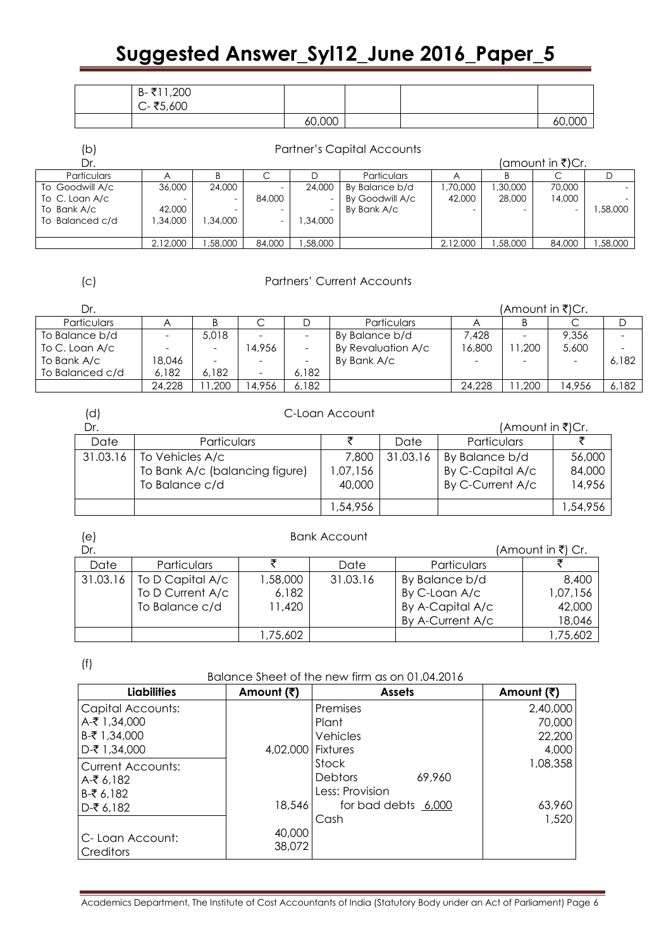| 200, 11≸⊦<br>$\overline{B}$ -x<br>$C - ₹5,600$ |        |  |          |
|------------------------------------------------|--------|--|----------|
|                                                | 60,000 |  | നന<br>6C |

| (b)                | <b>Partner's Capital Accounts</b> |          |                          |         |                    |          |          |                  |         |
|--------------------|-----------------------------------|----------|--------------------------|---------|--------------------|----------|----------|------------------|---------|
| Dr.                |                                   |          |                          |         |                    |          |          | (amount in ₹)Cr. |         |
| <b>Particulars</b> |                                   |          |                          |         | <b>Particulars</b> |          |          |                  |         |
| To Goodwill A/c    | 36,000                            | 24,000   | $\overline{\phantom{0}}$ | 24,000  | By Balance b/d     | .70.000  | 1,30,000 | 70,000           |         |
| To C. Loan A/c     |                                   |          | 84,000                   |         | By Goodwill A/c    | 42,000   | 28,000   | 14,000           |         |
| To Bank A/c        | 42,000                            |          | $\overline{\phantom{0}}$ |         | By Bank A/c        |          |          |                  | ,58,000 |
| To Balanced c/d    | .34.000                           | 1,34,000 | $\overline{\phantom{0}}$ | .34.000 |                    |          |          |                  |         |
|                    |                                   |          |                          |         |                    |          |          |                  |         |
|                    | 2,12,000                          | .58.000  | 84,000                   | ,58,000 |                    | 2,12,000 | ,58,000  | 84,000           | ,58,000 |

#### (c) Partners' Current Accounts

| Dr.                |                          |                          |       |       |                    |                          | (Amount in ₹)Cr.         |        |       |
|--------------------|--------------------------|--------------------------|-------|-------|--------------------|--------------------------|--------------------------|--------|-------|
| <b>Particulars</b> |                          |                          | ◡     |       | <b>Particulars</b> |                          | D                        |        |       |
| To Balance b/d     | $\overline{\phantom{a}}$ | 5,018                    |       |       | By Balance b/d     | 7.428                    | $\overline{\phantom{0}}$ | 9.356  |       |
| To C. Loan A/c     |                          | $\overline{\phantom{0}}$ | 4.956 |       | By Revaluation A/c | 16,800                   | 1,200                    | 5,600  |       |
| To Bank A/c        | 18.046                   | -                        |       |       | By Bank A/c        | $\overline{\phantom{0}}$ | -                        |        | 6.182 |
| To Balanced c/d    | 6.182                    | 6.182                    |       | 6.182 |                    |                          |                          |        |       |
|                    | 24,228                   | 200. ا                   | 4.956 | 6.182 |                    | 24,228                   | 1,200                    | 14.956 | 6.182 |

| (d)      | C-Loan Account                                                      |                             |          |                                                        |                            |
|----------|---------------------------------------------------------------------|-----------------------------|----------|--------------------------------------------------------|----------------------------|
| Dr.      |                                                                     |                             |          | (Amount in ₹)Cr.                                       |                            |
| Date     | Particulars                                                         |                             | Date     | Particulars                                            |                            |
| 31.03.16 | To Vehicles A/c<br>To Bank A/c (balancing figure)<br>To Balance c/d | 7,800<br>1,07,156<br>40,000 | 31.03.16 | By Balance b/d<br>By C-Capital A/c<br>By C-Current A/c | 56,000<br>84,000<br>14,956 |
|          |                                                                     | 1,54,956                    |          |                                                        | ,54,956                    |

| (e)      |                    |          | <b>Bank Account</b> |                  |                   |
|----------|--------------------|----------|---------------------|------------------|-------------------|
| Dr.      |                    |          |                     |                  | (Amount in ₹) Cr. |
| Date     | <b>Particulars</b> |          | Date                | Particulars      |                   |
| 31.03.16 | To D Capital A/c   | 1,58,000 | 31.03.16            | By Balance b/d   | 8,400             |
|          | To D Current A/c   | 6,182    |                     | By C-Loan A/c    | 1,07,156          |
|          | To Balance c/d     | 11,420   |                     | By A-Capital A/c | 42,000            |
|          |                    |          |                     | By A-Current A/c | 18,046            |
|          |                    | 1,75,602 |                     |                  | 1,75,602          |

(f)

### Balance Sheet of the new firm as on 01.04.2016

| <b>Liabilities</b>                   | Amount (₹)        | <b>Assets</b>            | Amount (₹) |
|--------------------------------------|-------------------|--------------------------|------------|
| <b>Capital Accounts:</b>             |                   | Premises                 | 2,40,000   |
| A-₹ 1,34,000                         |                   | Plant                    | 70,000     |
| B-₹ 1,34,000                         |                   | Vehicles                 | 22,200     |
| D-₹ 1,34,000                         | 4,02,000 Fixtures |                          | 4,000      |
| Current Accounts:                    |                   | Stock                    | 1,08,358   |
| $A-$ ₹ 6,182                         |                   | 69,960<br><b>Debtors</b> |            |
| B-₹6,182                             |                   | Less: Provision          |            |
| $D-$ ₹ 6,182                         | 18,546            | for bad debts 6,000      | 63,960     |
|                                      |                   | Cash                     | 1,520      |
| C- Loan Account:<br><b>Creditors</b> | 40,000<br>38,072  |                          |            |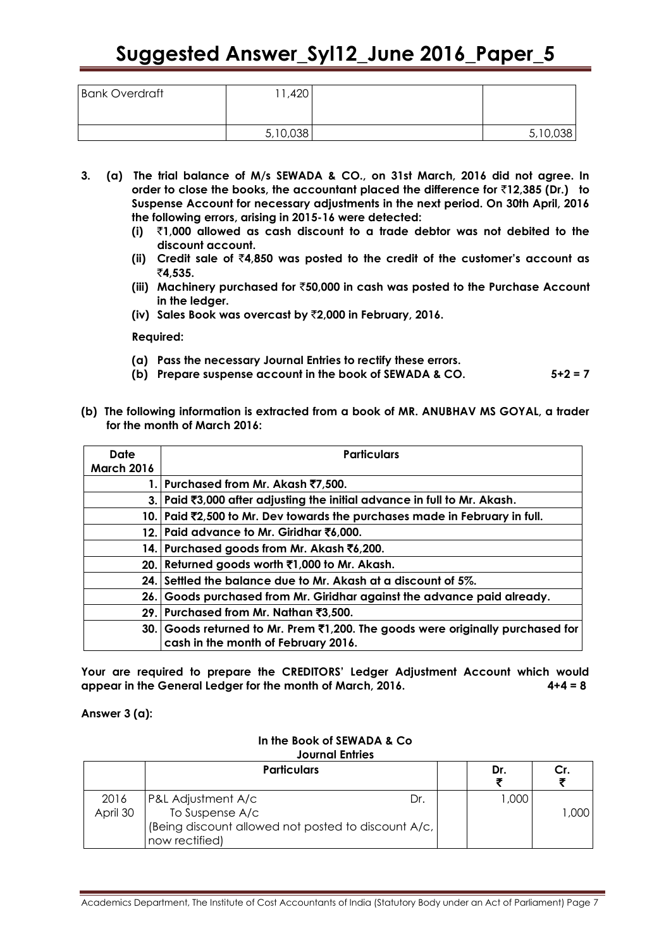| <b>Bank Overdraft</b> | ,420<br>11 |          |
|-----------------------|------------|----------|
|                       | 5,10,038   | 5,10,038 |

- **3. (a) The trial balance of M/s SEWADA & CO., on 31st March, 2016 did not agree. In order to close the books, the accountant placed the difference for** `**12,385 (Dr.) to Suspense Account for necessary adjustments in the next period. On 30th April, 2016 the following errors, arising in 2015-16 were detected:**
	- **(i)** `**1,000 allowed as cash discount to a trade debtor was not debited to the discount account.**
	- **(ii) Credit sale of** `**4,850 was posted to the credit of the customer's account as**  `**4,535.**
	- **(iii) Machinery purchased for** `**50,000 in cash was posted to the Purchase Account in the ledger.**
	- **(iv) Sales Book was overcast by** `**2,000 in February, 2016.**

**Required:**

- **(a) Pass the necessary Journal Entries to rectify these errors.**
- **(b) Prepare suspense account in the book of SEWADA & CO. 5+2 = 7**
- **(b) The following information is extracted from a book of MR. ANUBHAV MS GOYAL, a trader for the month of March 2016:**

| <b>Date</b>       | <b>Particulars</b>                                                                                                    |
|-------------------|-----------------------------------------------------------------------------------------------------------------------|
| <b>March 2016</b> |                                                                                                                       |
|                   | 1. Purchased from Mr. Akash ₹7,500.                                                                                   |
|                   | 3. Paid ₹3,000 after adjusting the initial advance in full to Mr. Akash.                                              |
|                   | 10. Paid \\\$2,500 to Mr. Dev towards the purchases made in February in full.                                         |
|                   | 12. Paid advance to Mr. Giridhar ₹6,000.                                                                              |
|                   | 14. Purchased goods from Mr. Akash ₹6,200.                                                                            |
|                   | 20. Returned goods worth ₹1,000 to Mr. Akash.                                                                         |
|                   | 24. Settled the balance due to Mr. Akash at a discount of 5%.                                                         |
| 26.1              | Goods purchased from Mr. Giridhar against the advance paid already.                                                   |
|                   | 29. Purchased from Mr. Nathan ₹3,500.                                                                                 |
|                   | 30. Goods returned to Mr. Prem ₹1,200. The goods were originally purchased for<br>cash in the month of February 2016. |

**Your are required to prepare the CREDITORS' Ledger Adjustment Account which would appear in the General Ledger for the month of March, 2016. 4+4 = 8**

**Answer 3 (a):**

#### **In the Book of SEWADA & Co Journal Entries**

|                  | <b>Particulars</b>                                                                                                   | Dr.    | Cr.  |
|------------------|----------------------------------------------------------------------------------------------------------------------|--------|------|
| 2016<br>April 30 | P&L Adjustment A/c<br>Dr<br>To Suspense A/c<br>(Being discount allowed not posted to discount A/c,<br>now rectified) | 000, I | .000 |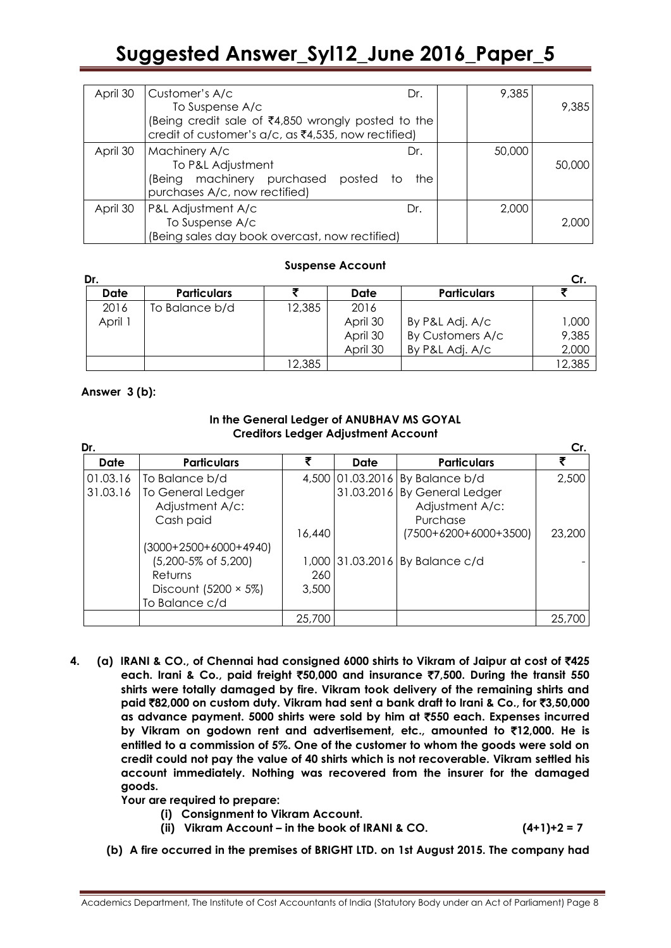| April 30 | Customer's A/c<br>To Suspense A/c                                                                         | Dr.                         | 9,385  | 9,385  |
|----------|-----------------------------------------------------------------------------------------------------------|-----------------------------|--------|--------|
|          | (Being credit sale of ₹4,850 wrongly posted to the<br>credit of customer's a/c, as ₹4,535, now rectified) |                             |        |        |
| April 30 | Machinery A/c<br>To P&L Adjustment<br>(Being machinery purchased<br>purchases A/c, now rectified)         | Dr.<br>posted<br>the<br>TO. | 50,000 | 50,000 |
| April 30 | P&L Adjustment A/c<br>To Suspense A/c<br>(Being sales day book overcast, now rectified)                   | Dr.                         | 2,000  | 2,000  |

#### **Suspense Account**

| Dr.   |                    |        |          |                    | Cr.    |
|-------|--------------------|--------|----------|--------------------|--------|
| Date  | <b>Particulars</b> |        | Date     | <b>Particulars</b> |        |
| 2016  | To Balance b/d     | 12,385 | 2016     |                    |        |
| April |                    |        | April 30 | By P&L Adj. A/c    | 1,000  |
|       |                    |        | April 30 | By Customers A/c   | 9,385  |
|       |                    |        | April 30 | By P&L Adj. A/c    | 2,000  |
|       |                    | 12,385 |          |                    | 12,385 |

#### **Answer 3 (b):**

#### **In the General Ledger of ANUBHAV MS GOYAL Creditors Ledger Adjustment Account**

| Dr.      |                             |        |      |                                 | Cr.    |
|----------|-----------------------------|--------|------|---------------------------------|--------|
| Date     | <b>Particulars</b>          | ₹      | Date | <b>Particulars</b>              | ₹      |
| 01.03.16 | To Balance b/d              |        |      | 4,500 01.03.2016 By Balance b/d | 2,500  |
| 31.03.16 | To General Ledger           |        |      | 31.03.2016 By General Ledger    |        |
|          | Adjustment A/c:             |        |      | Adjustment A/c:                 |        |
|          | Cash paid                   |        |      | Purchase                        |        |
|          |                             | 16,440 |      | (7500+6200+6000+3500)           | 23.200 |
|          | $(3000+2500+6000+4940)$     |        |      |                                 |        |
|          | (5,200-5% of 5,200)         |        |      | 1,000 31.03.2016 By Balance c/d |        |
|          | Returns                     | 260    |      |                                 |        |
|          | Discount (5200 $\times$ 5%) | 3,500  |      |                                 |        |
|          | To Balance c/d              |        |      |                                 |        |
|          |                             | 25,700 |      |                                 | 25,700 |

**4. (a) IRANI & CO., of Chennai had consigned 6000 shirts to Vikram of Jaipur at cost of** `**425 each. Irani & Co., paid freight** `**50,000 and insurance** `**7,500. During the transit 550 shirts were totally damaged by fire. Vikram took delivery of the remaining shirts and paid** `**82,000 on custom duty. Vikram had sent a bank draft to Irani & Co., for** `**3,50,000 as advance payment. 5000 shirts were sold by him at** `**550 each. Expenses incurred by Vikram on godown rent and advertisement, etc., amounted to** `**12,000. He is entitled to a commission of 5%. One of the customer to whom the goods were sold on credit could not pay the value of 40 shirts which is not recoverable. Vikram settled his account immediately. Nothing was recovered from the insurer for the damaged goods.** 

**Your are required to prepare:**

- **(i) Consignment to Vikram Account.**
- **(ii) Vikram Account – in the book of IRANI & CO. (4+1)+2 = 7**

**(b) A fire occurred in the premises of BRIGHT LTD. on 1st August 2015. The company had**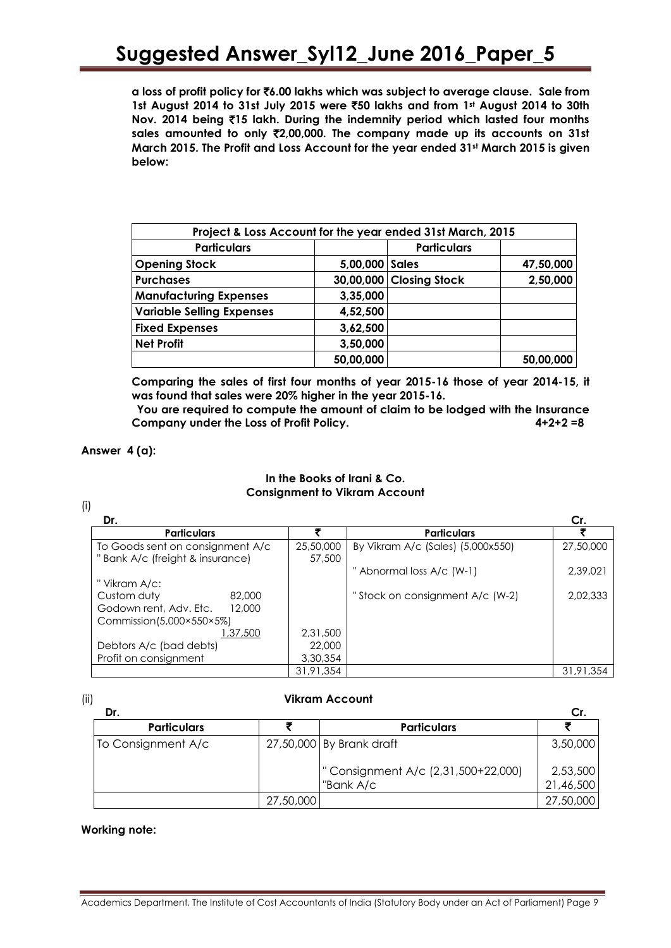**a loss of profit policy for** `**6.00 lakhs which was subject to average clause. Sale from 1st August 2014 to 31st July 2015 were** `**50 lakhs and from 1st August 2014 to 30th Nov. 2014 being** `**15 lakh. During the indemnity period which lasted four months sales amounted to only** `**2,00,000. The company made up its accounts on 31st March 2015. The Profit and Loss Account for the year ended 31st March 2015 is given below:**

| Project & Loss Account for the year ended 31st March, 2015 |                  |                         |           |  |  |  |
|------------------------------------------------------------|------------------|-------------------------|-----------|--|--|--|
| <b>Particulars</b>                                         |                  | <b>Particulars</b>      |           |  |  |  |
| <b>Opening Stock</b>                                       | 5,00,000   Sales |                         | 47,50,000 |  |  |  |
| <b>Purchases</b>                                           |                  | 30,00,000 Closing Stock | 2,50,000  |  |  |  |
| <b>Manufacturing Expenses</b>                              | 3,35,000         |                         |           |  |  |  |
| <b>Variable Selling Expenses</b>                           | 4,52,500         |                         |           |  |  |  |
| <b>Fixed Expenses</b>                                      | 3,62,500         |                         |           |  |  |  |
| <b>Net Profit</b>                                          | 3,50,000         |                         |           |  |  |  |
|                                                            | 50,00,000        |                         | 50,00,000 |  |  |  |

**Comparing the sales of first four months of year 2015-16 those of year 2014-15, it was found that sales were 20% higher in the year 2015-16.**

**You are required to compute the amount of claim to be lodged with the Insurance Company under the Loss of Profit Policy. 4+2+2 =8** 

#### **Answer 4 (a):**

#### **In the Books of Irani & Co. Consignment to Vikram Account**

(i)

| Dr.                                                                 |                     |                                   | Cr.       |
|---------------------------------------------------------------------|---------------------|-----------------------------------|-----------|
| <b>Particulars</b>                                                  |                     | <b>Particulars</b>                |           |
| To Goods sent on consignment A/c<br>"Bank A/c (freight & insurance) | 25,50,000<br>57,500 | By Vikram A/c (Sales) (5,000x550) | 27,50,000 |
|                                                                     |                     | " Abnormal loss A/c (W-1)         | 2,39,021  |
| " Vikram A/c:                                                       |                     |                                   |           |
| Custom duty<br>82,000                                               |                     | "Stock on consignment A/c (W-2)   | 2,02,333  |
| Godown rent, Adv. Etc.<br>12,000                                    |                     |                                   |           |
| Commission $(5,000 \times 550 \times 5\%)$                          |                     |                                   |           |
| 1,37,500                                                            | 2.31.500            |                                   |           |
| Debtors A/c (bad debts)                                             | 22,000              |                                   |           |
| Profit on consignment                                               | 3,30,354            |                                   |           |
|                                                                     | 31,91,354           |                                   | 31,91,354 |

#### (ii) **Vikram Account**

| Dr.                |           |                                                |                       |
|--------------------|-----------|------------------------------------------------|-----------------------|
| <b>Particulars</b> |           | <b>Particulars</b>                             |                       |
| To Consignment A/c |           | 27,50,000 By Brank draft                       | 3,50,000              |
|                    |           | Consignment A/c (2,31,500+22,000)<br>"Bank A/c | 2,53,500<br>21,46,500 |
|                    | 27,50,000 |                                                | 27,50,000             |

#### **Working note:**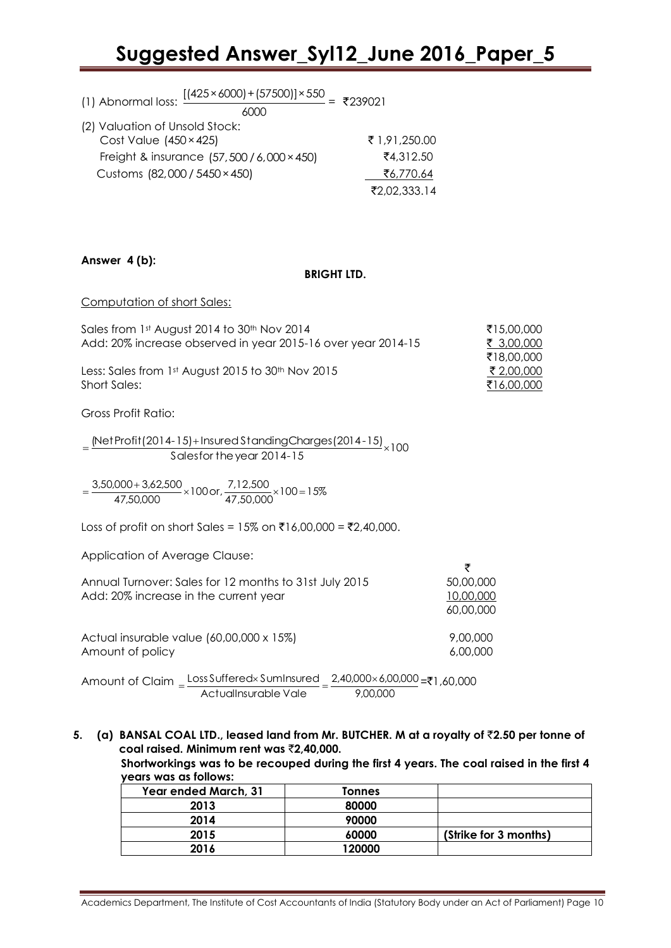| (1) Abnormal loss: $\frac{[(425 \times 6000) + (57500)] \times 550}{2} = ₹239021$<br>6000 |               |
|-------------------------------------------------------------------------------------------|---------------|
| (2) Valuation of Unsold Stock:                                                            |               |
| Cost Value $(450 \times 425)$                                                             | ₹ 1,91,250.00 |
| Freight & insurance (57,500 / 6,000 × 450)                                                | ₹4,312.50     |
| Customs (82,000 / 5450 × 450)                                                             | ₹6,770.64     |
|                                                                                           | ₹2,02,333.14  |

#### **Answer 4 (b):**

#### **BRIGHT LTD.**

Computation of short Sales:

| Sales from 1st August 2014 to 30th Nov 2014                  | ₹15.00.000 |
|--------------------------------------------------------------|------------|
| Add: 20% increase observed in year 2015-16 over year 2014-15 | ₹ 3,00,000 |
|                                                              | ₹18,00,000 |
| Less: Sales from 1st August 2015 to 30th Nov 2015            | ₹ 2,00,000 |
| Short Sales:                                                 | ₹16,00,000 |

Gross Profit Ratio:

 $=\frac{\text{(Net Profit (2014-15)} + \text{Insured StandardingCharges} (2014-15)}{211.15} \times 100$ Salesfor theyear 2014-15

 $\frac{000+3,62,500}{47,50,000} \times 100 \text{ or, } \frac{7,12,500}{47,50,000} \times 100 = 15\%$  $=\frac{3,50,000+3,62,500}{17,50,000} \times 100 \text{ or, } \frac{7,12,500}{17,50,000} \times 100=$ 

Loss of profit on short Sales = 15% on ₹16,00,000 = ₹2,40,000.

Application of Average Clause:

| Annual Turnover: Sales for 12 months to 31st July 2015                                                                                                                                                                                                                                                                                                                               | 50,00,000 |
|--------------------------------------------------------------------------------------------------------------------------------------------------------------------------------------------------------------------------------------------------------------------------------------------------------------------------------------------------------------------------------------|-----------|
| Add: 20% increase in the current year                                                                                                                                                                                                                                                                                                                                                | 10,00,000 |
|                                                                                                                                                                                                                                                                                                                                                                                      | 60,00,000 |
|                                                                                                                                                                                                                                                                                                                                                                                      |           |
| Actual insurable value $(60,00,000 \times 15\%)$                                                                                                                                                                                                                                                                                                                                     | 9,00,000  |
| Amount of policy                                                                                                                                                                                                                                                                                                                                                                     | 6,00,000  |
|                                                                                                                                                                                                                                                                                                                                                                                      |           |
| $\overline{1}$ $\overline{0}$ $\overline{1}$ $\overline{0}$ $\overline{1}$ $\overline{0}$ $\overline{1}$ $\overline{0}$ $\overline{1}$ $\overline{0}$ $\overline{0}$ $\overline{0}$ $\overline{0}$ $\overline{0}$ $\overline{0}$ $\overline{0}$ $\overline{0}$ $\overline{0}$ $\overline{0}$ $\overline{0}$ $\overline{0}$ $\overline{0}$ $\overline{0}$ $\overline{0}$ $\overline{$ |           |

Amount of Claim 9,00,000 2,40,000×6,00,000 ActualInsurable Vale  $=\frac{Loss Suffered \times SumInsured}{1,60,000}$  =₹1,60,000

**5. (a) BANSAL COAL LTD., leased land from Mr. BUTCHER. M at a royalty of** `**2.50 per tonne of coal raised. Minimum rent was** `**2,40,000.**

**Shortworkings was to be recouped during the first 4 years. The coal raised in the first 4 years was as follows:**

 $\bar{z}$ 

| Year ended March, 31 | Tonnes |                       |
|----------------------|--------|-----------------------|
| 2013                 | 80000  |                       |
| 2014                 | 90000  |                       |
| 2015                 | 60000  | (Strike for 3 months) |
| 2016                 | 120000 |                       |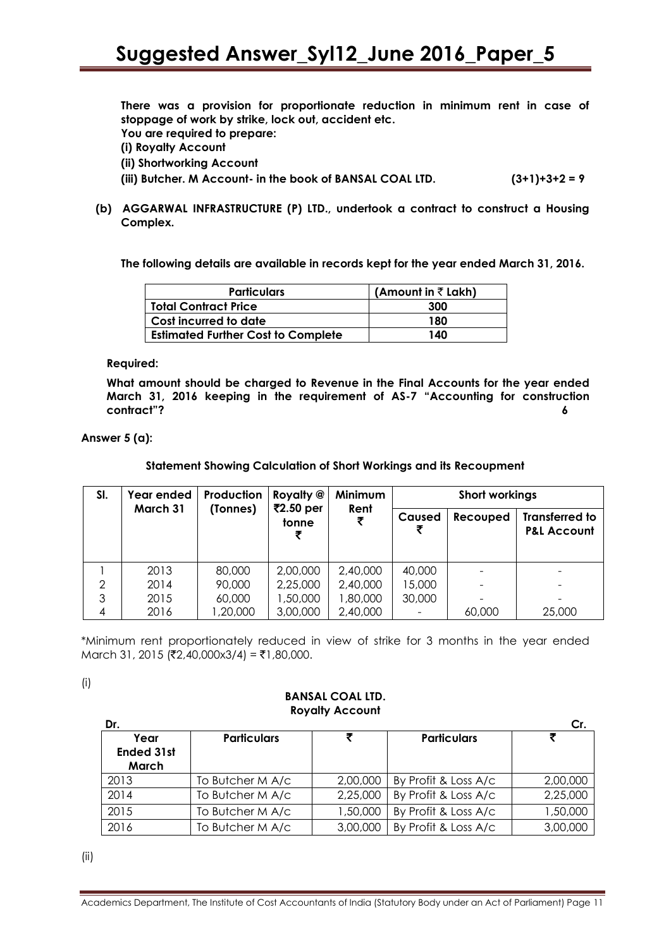**There was a provision for proportionate reduction in minimum rent in case of stoppage of work by strike, lock out, accident etc.**

**You are required to prepare:**

**(i) Royalty Account**

**(ii) Shortworking Account**

**(iii) Butcher. M Account- in the book of BANSAL COAL LTD. (3+1)+3+2 = 9** 

**(b) AGGARWAL INFRASTRUCTURE (P) LTD., undertook a contract to construct a Housing Complex.**

**The following details are available in records kept for the year ended March 31, 2016.**

| <b>Particulars</b>                        | (Amount in $\bar{z}$ Lakh) |
|-------------------------------------------|----------------------------|
| <b>Total Contract Price</b>               | 300                        |
| Cost incurred to date                     | 180                        |
| <b>Estimated Further Cost to Complete</b> | 140                        |

**Required:**

**What amount should be charged to Revenue in the Final Accounts for the year ended March 31, 2016 keeping in the requirement of AS-7 "Accounting for construction contract‖? 6**

**Answer 5 (a):**

**Statement Showing Calculation of Short Workings and its Recoupment**

| SI. | Year ended | Production | Royalty @          | Minimum   | <b>Short workings</b> |          |                                                 |
|-----|------------|------------|--------------------|-----------|-----------------------|----------|-------------------------------------------------|
|     | March 31   | (Tonnes)   | ₹2.50 per<br>tonne | Rent<br>₹ | Caused<br>₹           | Recouped | <b>Transferred to</b><br><b>P&amp;L Account</b> |
|     | 2013       | 80,000     | 2,00,000           | 2,40,000  | 40,000                |          |                                                 |
| 2   | 2014       | 90,000     | 2,25,000           | 2,40,000  | 15,000                |          | $\overline{\phantom{a}}$                        |
| 3   | 2015       | 60,000     | 1,50,000           | 1,80,000  | 30,000                |          | $\overline{\phantom{a}}$                        |
| 4   | 2016       | 1,20,000   | 3,00,000           | 2,40,000  |                       | 60,000   | 25,000                                          |

\*Minimum rent proportionately reduced in view of strike for 3 months in the year ended  $March$  31, 2015 (₹2,40,000x3/4) = ₹1,80,000.

(i)

#### **BANSAL COAL LTD. Royalty Account**

| Dr.                                |                    |          |                      | Cr.      |
|------------------------------------|--------------------|----------|----------------------|----------|
| Year<br><b>Ended 31st</b><br>March | <b>Particulars</b> |          | <b>Particulars</b>   |          |
| 2013                               | To Butcher M A/c   | 2,00,000 | By Profit & Loss A/c | 2,00,000 |
| 2014                               | To Butcher M A/c   | 2,25,000 | By Profit & Loss A/c | 2,25,000 |
| 2015                               | To Butcher M A/c   | 1,50,000 | By Profit & Loss A/c | 1,50,000 |
| 2016                               | To Butcher M A/c   | 3,00,000 | By Profit & Loss A/c | 3,00,000 |

(ii)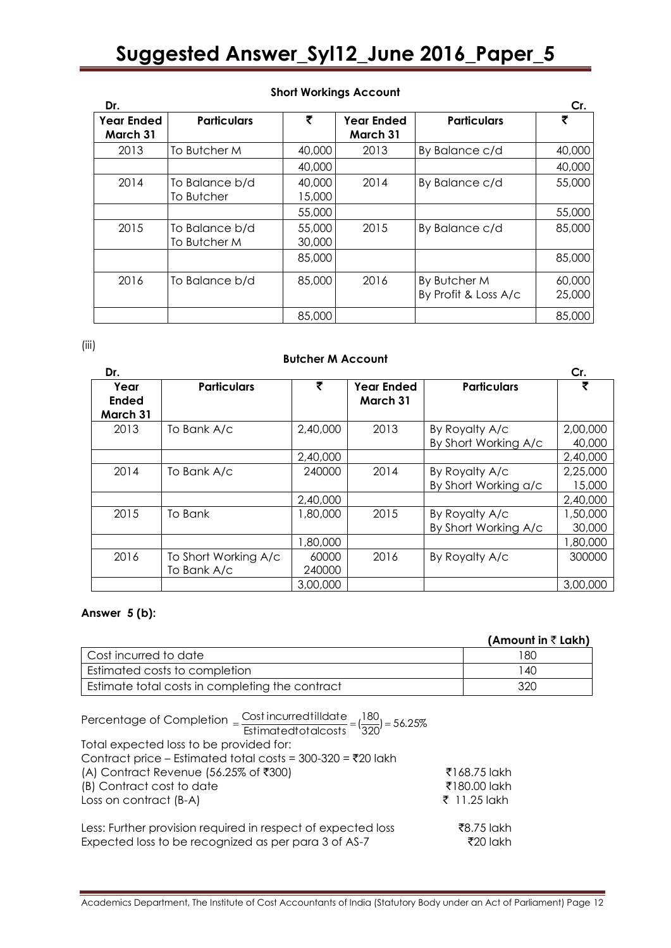| Dr.                           |                                |                  |                                      |                                      | Cr.              |
|-------------------------------|--------------------------------|------------------|--------------------------------------|--------------------------------------|------------------|
| <b>Year Ended</b><br>March 31 | <b>Particulars</b>             | ₹                | <b>Year Ended</b><br><b>March 31</b> | <b>Particulars</b>                   | ₹                |
| 2013                          | To Butcher M                   | 40,000           | 2013                                 | By Balance c/d                       | 40,000           |
|                               |                                | 40,000           |                                      |                                      | 40,000           |
| 2014                          | To Balance b/d<br>To Butcher   | 40,000<br>15,000 | 2014                                 | By Balance c/d                       | 55,000           |
|                               |                                | 55,000           |                                      |                                      | 55,000           |
| 2015                          | To Balance b/d<br>To Butcher M | 55,000<br>30,000 | 2015                                 | By Balance c/d                       | 85,000           |
|                               |                                | 85,000           |                                      |                                      | 85,000           |
| 2016                          | To Balance b/d                 | 85,000           | 2016                                 | By Butcher M<br>By Profit & Loss A/c | 60,000<br>25,000 |
|                               |                                | 85,000           |                                      |                                      | 85,000           |

#### **Short Workings Account**

(iii)

#### **Butcher M Account**

| Dr.                              |                                     |                 |                               |                                        | Cr.                |
|----------------------------------|-------------------------------------|-----------------|-------------------------------|----------------------------------------|--------------------|
| Year<br><b>Ended</b><br>March 31 | <b>Particulars</b>                  | ₹               | <b>Year Ended</b><br>March 31 | <b>Particulars</b>                     | ₹                  |
| 2013                             | To Bank A/c                         | 2,40,000        | 2013                          | By Royalty A/c<br>By Short Working A/c | 2,00,000<br>40,000 |
|                                  |                                     | 2,40,000        |                               |                                        | 2,40,000           |
| 2014                             | To Bank A/c                         | 240000          | 2014                          | By Royalty A/c<br>By Short Working a/c | 2,25,000<br>15,000 |
|                                  |                                     | 2,40,000        |                               |                                        | 2,40,000           |
| 2015                             | To Bank                             | 1,80,000        | 2015                          | By Royalty A/c<br>By Short Working A/c | 1,50,000<br>30,000 |
|                                  |                                     | 1,80,000        |                               |                                        | 1,80,000           |
| 2016                             | To Short Working A/c<br>To Bank A/c | 60000<br>240000 | 2016                          | By Royalty A/c                         | 300000             |
|                                  |                                     | 3,00,000        |                               |                                        | 3,00,000           |

#### **Answer 5 (b):**

#### **(Amount in ₹ Lakh)**

| Cost incurred to date                           | 180 |
|-------------------------------------------------|-----|
| Estimated costs to completion                   | -40 |
| Estimate total costs in completing the contract | 320 |

| Percentage of Completion $=\frac{\text{Cost in} \text{curred} \text{till} \text{date}}{\text{Estimated} \text{told} \text{clc} \text{tbl}} = (\frac{180}{320}) = 56.25\%$ |              |
|---------------------------------------------------------------------------------------------------------------------------------------------------------------------------|--------------|
| Total expected loss to be provided for:                                                                                                                                   |              |
| Contract price – Estimated total costs = $300-320 = ₹20$ lakh                                                                                                             |              |
| (A) Contract Revenue (56.25% of ₹300)                                                                                                                                     | ₹168.75 lakh |
| (B) Contract cost to date                                                                                                                                                 | ₹180.00 lakh |
| Loss on contract (B-A)                                                                                                                                                    | ₹ 11.25 lakh |
| Less: Further provision required in respect of expected loss                                                                                                              | ₹8.75 lakh   |
| Expected loss to be recognized as per para 3 of AS-7                                                                                                                      | ₹20 lakh     |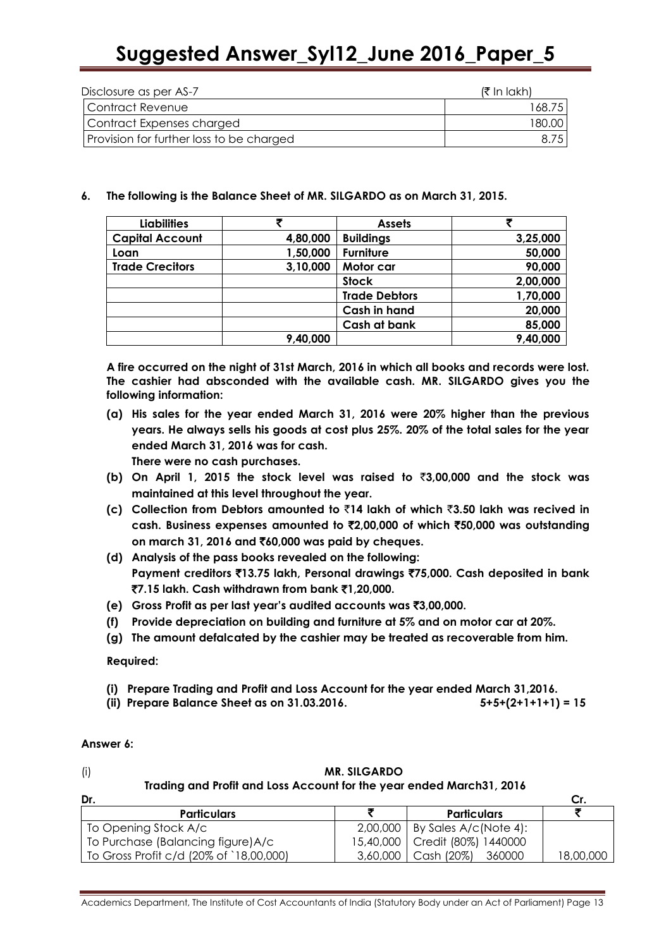| Disclosure as per AS-7                   | (₹ In lakh) |
|------------------------------------------|-------------|
| Contract Revenue                         | 168.75      |
| Contract Expenses charged                | 180.OO.     |
| Provision for further loss to be charged | 8.75        |

#### **6. The following is the Balance Sheet of MR. SILGARDO as on March 31, 2015.**

| <b>Liabilities</b>     | チ        | <b>Assets</b>        |          |
|------------------------|----------|----------------------|----------|
| <b>Capital Account</b> | 4,80,000 | <b>Buildings</b>     | 3,25,000 |
| Loan                   | 1,50,000 | <b>Furniture</b>     | 50,000   |
| <b>Trade Crecitors</b> | 3,10,000 | Motor car            | 90,000   |
|                        |          | <b>Stock</b>         | 2,00,000 |
|                        |          | <b>Trade Debtors</b> | 1,70,000 |
|                        |          | <b>Cash in hand</b>  | 20,000   |
|                        |          | Cash at bank         | 85,000   |
|                        | 9,40,000 |                      | 9,40,000 |

**A fire occurred on the night of 31st March, 2016 in which all books and records were lost. The cashier had absconded with the available cash. MR. SILGARDO gives you the following information:**

**(a) His sales for the year ended March 31, 2016 were 20% higher than the previous years. He always sells his goods at cost plus 25%. 20% of the total sales for the year ended March 31, 2016 was for cash.**

**There were no cash purchases.**

- **(b) On April 1, 2015 the stock level was raised to** `**3,00,000 and the stock was maintained at this level throughout the year.**
- **(c) Collection from Debtors amounted to** `**14 lakh of which** `**3.50 lakh was recived in cash. Business expenses amounted to** `**2,00,000 of which** `**50,000 was outstanding on march 31, 2016 and** `**60,000 was paid by cheques.**
- **(d) Analysis of the pass books revealed on the following: Payment creditors** `**13.75 lakh, Personal drawings** `**75,000. Cash deposited in bank**  `**7.15 lakh. Cash withdrawn from bank** `**1,20,000.**
- **(e) Gross Profit as per last year's audited accounts was** `**3,00,000.**
- **(f) Provide depreciation on building and furniture at 5% and on motor car at 20%.**
- **(g) The amount defalcated by the cashier may be treated as recoverable from him.**

**Required:**

- **(i) Prepare Trading and Profit and Loss Account for the year ended March 31,2016.**
- **(ii) Prepare Balance Sheet as on 31.03.2016. 5+5+(2+1+1+1) = 15**

#### **Answer 6:**

| (i)<br><b>MR. SILGARDO</b><br>Trading and Profit and Loss Account for the year ended March31, 2016 |          |                                  |           |
|----------------------------------------------------------------------------------------------------|----------|----------------------------------|-----------|
| Dr.                                                                                                |          |                                  | Cr.       |
| <b>Particulars</b>                                                                                 |          | <b>Particulars</b>               |           |
| To Opening Stock A/c                                                                               |          | $2,00,000$ By Sales A/c(Note 4): |           |
| To Purchase (Balancing figure) A/c                                                                 |          | 15,40,000   Credit (80%) 1440000 |           |
| To Gross Profit c/d (20% of `18,00,000)                                                            | 3,60,000 | $\vert$ Cash (20%)<br>360000     | 18,00,000 |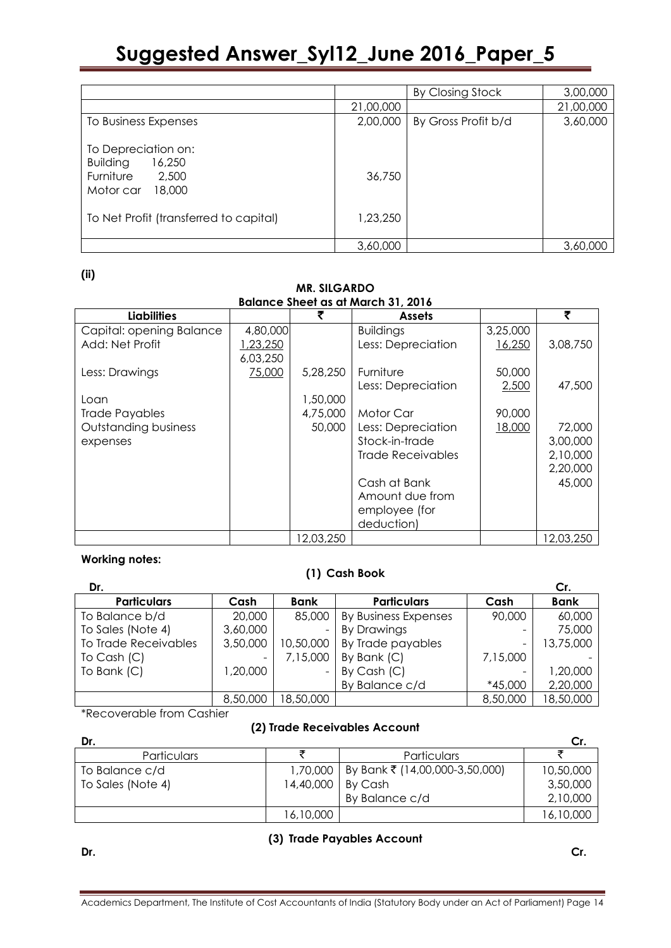|           | By Closing Stock    | 3,00,000  |
|-----------|---------------------|-----------|
| 21,00,000 |                     | 21,00,000 |
| 2,00,000  | By Gross Profit b/d | 3,60,000  |
| 36,750    |                     |           |
| 1,23,250  |                     |           |
|           |                     | 3,60,000  |
|           | 3,60,000            |           |

**(ii)**

| <b>MR. SILGARDO</b>      |          |           |                                           |          |           |
|--------------------------|----------|-----------|-------------------------------------------|----------|-----------|
|                          |          |           | <b>Balance Sheet as at March 31, 2016</b> |          |           |
| <b>Liabilities</b>       |          |           | <b>Assets</b>                             |          | ₹         |
| Capital: opening Balance | 4,80,000 |           | <b>Buildings</b>                          | 3,25,000 |           |
| Add: Net Profit          | 23,250   |           | Less: Depreciation                        | 16,250   | 3,08,750  |
|                          | 6,03,250 |           |                                           |          |           |
| Less: Drawings           | 75,000   | 5,28,250  | Furniture                                 | 50,000   |           |
|                          |          |           | Less: Depreciation                        | 2,500    | 47,500    |
| Loan                     |          | 1,50,000  |                                           |          |           |
| <b>Trade Payables</b>    |          | 4,75,000  | Motor Car                                 | 90,000   |           |
| Outstanding business     |          | 50,000    | Less: Depreciation                        | 18,000   | 72,000    |
| expenses                 |          |           | Stock-in-trade                            |          | 3,00,000  |
|                          |          |           | <b>Trade Receivables</b>                  |          | 2,10,000  |
|                          |          |           |                                           |          | 2,20,000  |
|                          |          |           | Cash at Bank                              |          | 45,000    |
|                          |          |           | Amount due from                           |          |           |
|                          |          |           | employee (for                             |          |           |
|                          |          |           | deduction)                                |          |           |
|                          |          | 12,03,250 |                                           |          | 12,03,250 |

#### **Working notes:**

#### **(1) Cash Book**

| Dr.                  |          |             |                      |          | Cr.         |
|----------------------|----------|-------------|----------------------|----------|-------------|
| <b>Particulars</b>   | Cash     | <b>Bank</b> | <b>Particulars</b>   | Cash     | <b>Bank</b> |
| To Balance b/d       | 20,000   | 85,000      | By Business Expenses | 90,000   | 60,000      |
| To Sales (Note 4)    | 3,60,000 |             | <b>By Drawings</b>   |          | 75,000      |
| To Trade Receivables | 3,50,000 | 10,50,000   | By Trade payables    |          | 13,75,000   |
| To Cash $(C)$        | -        | 7,15,000    | By Bank (C)          | 7,15,000 |             |
| To Bank (C)          | ,20,000  |             | By Cash $(C)$        |          | 1,20,000    |
|                      |          |             | By Balance c/d       | *45,000  | 2,20,000    |
|                      | 8,50,000 | 18,50,000   |                      | 8,50,000 | 18,50,000   |

\*Recoverable from Cashier

#### **(2) Trade Receivables Account**

| Dr.               |           |                                | Cr.       |
|-------------------|-----------|--------------------------------|-----------|
| Particulars       |           | Particulars                    |           |
| To Balance c/d    | 1,70,000  | By Bank ₹ (14,00,000-3,50,000) | 10,50,000 |
| To Sales (Note 4) | 14,40,000 | By Cash                        | 3,50,000  |
|                   |           | By Balance c/d                 | 2,10,000  |
|                   | 16,10,000 |                                | 16,10,000 |

### **(3) Trade Payables Account**

**Dr. Cr.**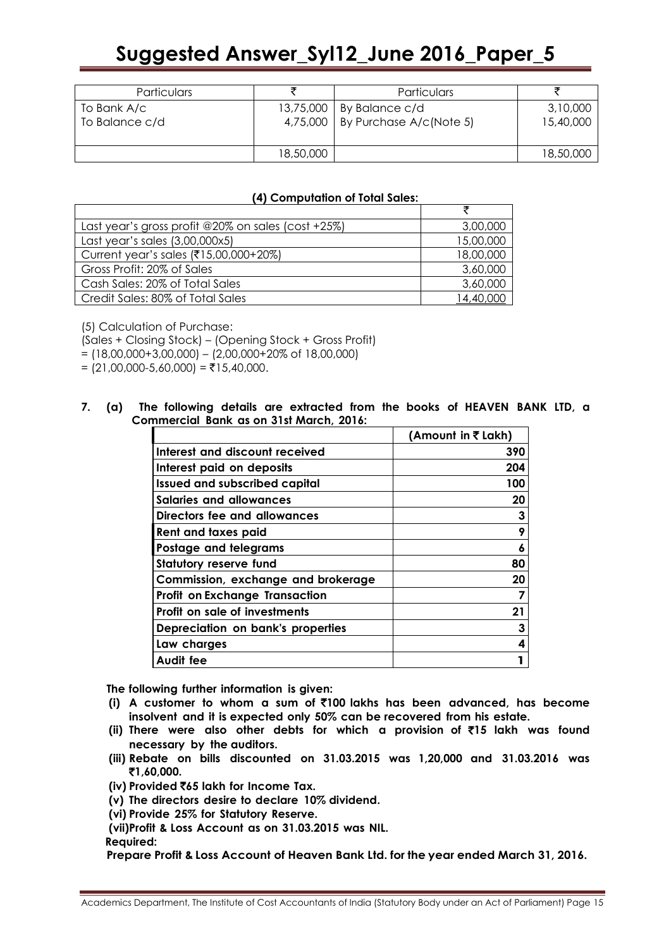| Particulars                   |           | Particulars                                                         |                       |
|-------------------------------|-----------|---------------------------------------------------------------------|-----------------------|
| To Bank A/c<br>To Balance c/d |           | 13,75,000   By Balance c/d<br>4,75,000   By Purchase $A/c$ (Note 5) | 3,10,000<br>15,40,000 |
|                               | 18,50,000 |                                                                     | 18,50,000             |

#### **(4) Computation of Total Sales:**

| Last year's gross profit @20% on sales (cost +25%) | 3,00,000  |
|----------------------------------------------------|-----------|
| Last year's sales (3,00,000x5)                     | 15,00,000 |
| Current year's sales (₹15,00,000+20%)              | 18,00,000 |
| Gross Profit: 20% of Sales                         | 3,60,000  |
| Cash Sales: 20% of Total Sales                     | 3,60,000  |
| Credit Sales: 80% of Total Sales                   | 14,40,000 |

(5) Calculation of Purchase:

(Sales + Closing Stock) – (Opening Stock + Gross Profit)

 $= (18,00,000+3,00,000) - (2,00,000+20\% \text{ of } 18,00,000)$ 

 $= (21,00,000-5,60,000) = ₹15,40,000.$ 

#### **7. (a) The following details are extracted from the books of HEAVEN BANK LTD, a Commercial Bank as on 31st March, 2016:**

|                                       | (Amount in ₹ Lakh) |
|---------------------------------------|--------------------|
| Interest and discount received        | 390                |
| Interest paid on deposits             | 204                |
| <b>Issued and subscribed capital</b>  | 100                |
| <b>Salaries and allowances</b>        | 20                 |
| Directors fee and allowances          | 3                  |
| Rent and taxes paid                   | 9                  |
| Postage and telegrams                 | 6                  |
| <b>Statutory reserve fund</b>         | 80                 |
| Commission, exchange and brokerage    | 20                 |
| <b>Profit on Exchange Transaction</b> |                    |
| <b>Profit on sale of investments</b>  | 21                 |
| Depreciation on bank's properties     | 3                  |
| Law charges                           | 4                  |
| Audit fee                             |                    |

**The following further information is given:**

- **(i) A customer to whom a sum of** `**100 lakhs has been advanced, has become insolvent and it is expected only 50% can be recovered from his estate.**
- **(ii) There were also other debts for which a provision of** `**15 lakh was found necessary by the auditors.**
- **(iii) Rebate on bills discounted on 31.03.2015 was 1,20,000 and 31.03.2016 was**  `**1,60,000.**
- **(iv) Provided** `**65 lakh for Income Tax.**
- **(v) The directors desire to declare 10% dividend.**
- **(vi) Provide 25% for Statutory Reserve.**
- **(vii)Profit & Loss Account as on 31.03.2015 was NIL.**

**Required:**

**Prepare Profit &Loss Account of Heaven Bank Ltd. for the year ended March 31, 2016.**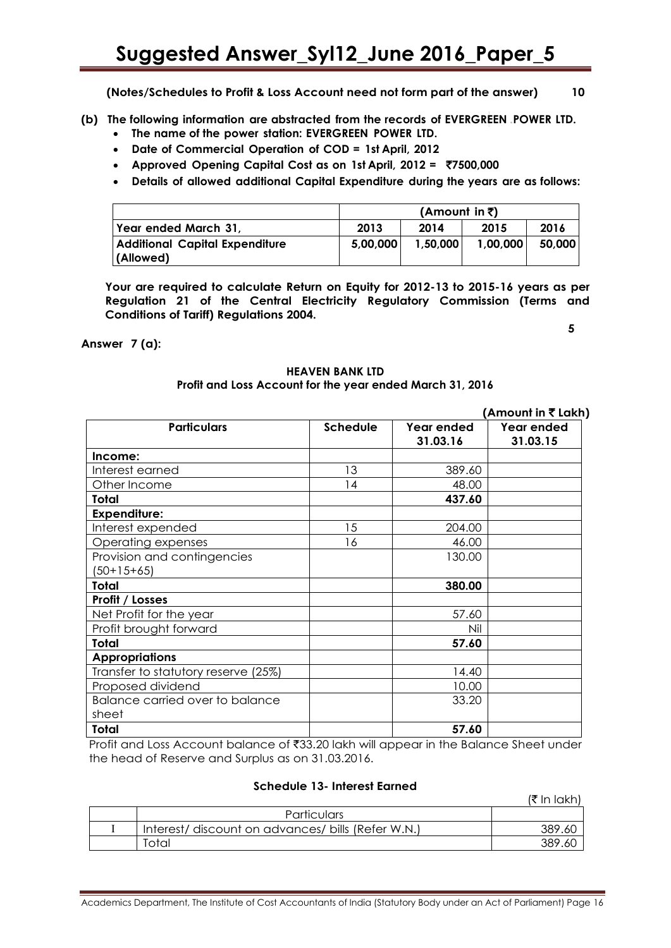**(Notes/Schedules to Profit & Loss Account need not form part of the answer) 10**

**(b) The following information are abstracted from the records of EVERGREEN .POWER LTD.**

- **The name of the power station: EVERGREEN POWER LTD.**
- **Date of Commercial Operation of COD = 1st April, 2012**
- **Approved Opening Capital Cost as on 1st April, 2012 =** `**7500,000**
- **Details of allowed additional Capital Expenditure during the years are as follows:**

|                                       |                      | (Amount in ₹) |          |        |
|---------------------------------------|----------------------|---------------|----------|--------|
| Year ended March 31,                  | 2013<br>2014<br>2015 |               |          | 2016   |
| <b>Additional Capital Expenditure</b> | 5,00,000             | 1,50,000      | 1,00,000 | 50,000 |
| (Allowed)                             |                      |               |          |        |

**Your are required to calculate Return on Equity for 2012-13 to 2015-16 years as per Regulation 21 of the Central Electricity Regulatory Commission (Terms and Conditions of Tariff) Regulations 2004.** 

**5**

#### **Answer 7 (a):**

#### **HEAVEN BANK LTD Profit and Loss Account for the year ended March 31, 2016**

|                                             |                 |                        | (Amount in ₹ Lakh)     |
|---------------------------------------------|-----------------|------------------------|------------------------|
| <b>Particulars</b>                          | <b>Schedule</b> | Year ended<br>31.03.16 | Year ended<br>31.03.15 |
| Income:                                     |                 |                        |                        |
| Interest earned                             | 13              | 389.60                 |                        |
| Other Income                                | 14              | 48.00                  |                        |
| Total                                       |                 | 437.60                 |                        |
| <b>Expenditure:</b>                         |                 |                        |                        |
| Interest expended                           | 15              | 204.00                 |                        |
| Operating expenses                          | 16              | 46.00                  |                        |
| Provision and contingencies<br>$(50+15+65)$ |                 | 130.00                 |                        |
| <b>Total</b>                                |                 | 380.00                 |                        |
| Profit / Losses                             |                 |                        |                        |
| Net Profit for the year                     |                 | 57.60                  |                        |
| Profit brought forward                      |                 | Nil                    |                        |
| Total                                       |                 | 57.60                  |                        |
| <b>Appropriations</b>                       |                 |                        |                        |
| Transfer to statutory reserve (25%)         |                 | 14.40                  |                        |
| Proposed dividend                           |                 | 10.00                  |                        |
| Balance carried over to balance<br>sheet    |                 | 33.20                  |                        |
| Total                                       |                 | 57.60                  |                        |

Profit and Loss Account balance of ₹33.20 lakh will appear in the Balance Sheet under the head of Reserve and Surplus as on 31.03.2016.

#### **Schedule 13- Interest Earned**

 $(\bar{\bar{\tau}}$  In lakh)

| <b>Particulars</b>                                 |        |
|----------------------------------------------------|--------|
| Interest/ discount on advances/ bills (Refer W.N.) | 389.60 |
| Total                                              | 389.60 |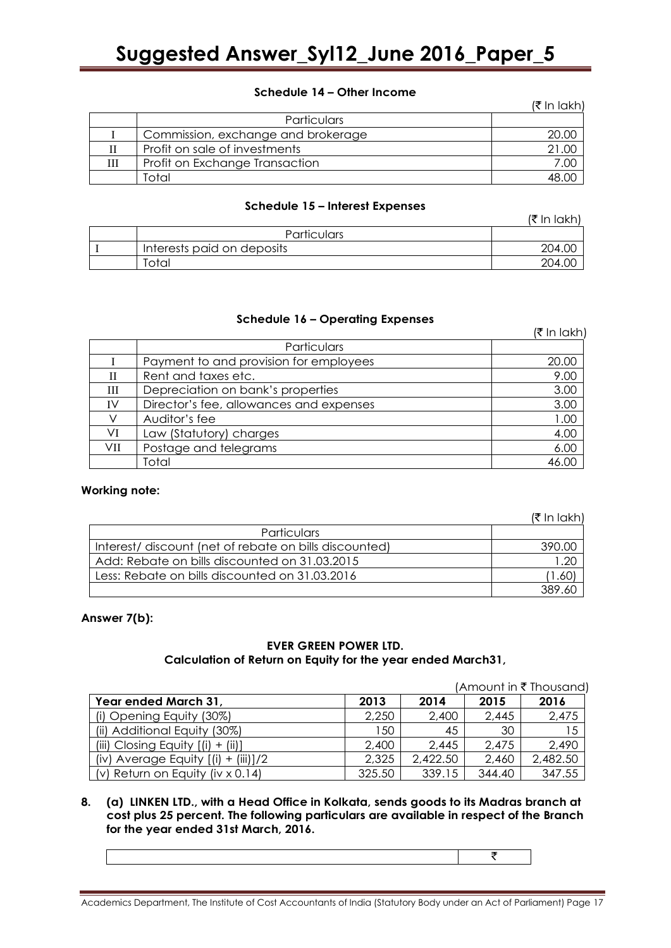#### **Schedule 14 – Other Income**

|   |                                    | (₹ In lakh) |
|---|------------------------------------|-------------|
|   | Particulars                        |             |
|   | Commission, exchange and brokerage | 20.00       |
|   | Profit on sale of investments      | 21.00       |
| Ш | Profit on Exchange Transaction     | 7.00        |
|   | Total                              |             |

#### **Schedule 15 – Interest Expenses**

|                            | (₹ In Iakh) |
|----------------------------|-------------|
| <b>Particulars</b>         |             |
| Interests paid on deposits | 204.OC      |
| Total                      | 204.        |

#### **Schedule 16 – Operating Expenses**

|     |                                         | $($ ₹ In lakh) |
|-----|-----------------------------------------|----------------|
|     | Particulars                             |                |
|     | Payment to and provision for employees  | 20.00          |
| Н   | Rent and taxes etc.                     | 9.00           |
| Ш   | Depreciation on bank's properties       | 3.00           |
| IV  | Director's fee, allowances and expenses | 3.00           |
|     | Auditor's fee                           | 1.00           |
| VI  | Law (Statutory) charges                 | 4.00           |
| VII | Postage and telegrams                   | 6.00           |
|     | Total                                   | 46.00          |

#### **Working note:**

|                                                        | (₹ In lakh) |
|--------------------------------------------------------|-------------|
| Particulars                                            |             |
| Interest/ discount (net of rebate on bills discounted) | 390.00      |
| Add: Rebate on bills discounted on 31.03.2015          | .20         |
| Less: Rebate on bills discounted on 31.03.2016         | 1.60        |
|                                                        |             |

#### **Answer 7(b):**

#### **EVER GREEN POWER LTD. Calculation of Return on Equity for the year ended March31,**

|                                         |        |          |        | (Amount in $\bar{\tau}$ Thousand) |
|-----------------------------------------|--------|----------|--------|-----------------------------------|
| Year ended March 31,                    | 2013   | 2014     | 2015   | 2016                              |
| (i) Opening Equity (30%)                | 2,250  | 2,400    | 2,445  | 2,475                             |
| (ii) Additional Equity (30%)            | 150    | 45       | 30     | 15                                |
| (iii) Closing Equity $[(i) + (ii)]$     | 2,400  | 2,445    | 2,475  | 2,490                             |
| (iv) Average Equity $[(i) + (iii)]/2$   | 2,325  | 2,422.50 | 2,460  | 2,482.50                          |
| (v) Return on Equity (iv $\times$ 0.14) | 325.50 | 339.15   | 344.40 | 347.55                            |

#### **8. (a) LINKEN LTD., with a Head Office in Kolkata, sends goods to its Madras branch at cost plus 25 percent. The following particulars are available in respect of the Branch for the year ended 31st March, 2016.**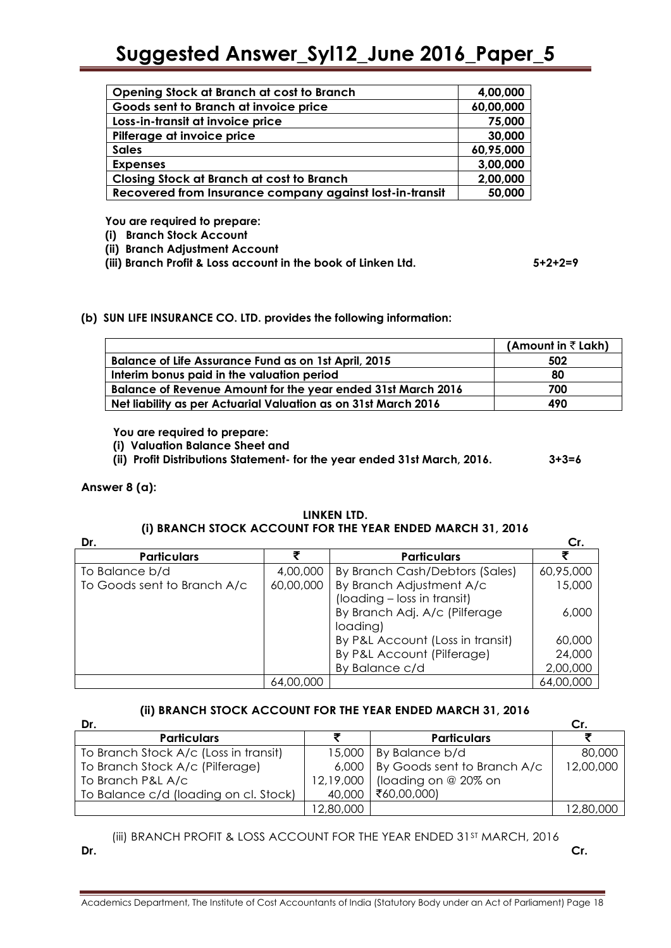| Opening Stock at Branch at cost to Branch                | 4,00,000  |
|----------------------------------------------------------|-----------|
| Goods sent to Branch at invoice price                    | 60,00,000 |
| Loss-in-transit at invoice price                         | 75,000    |
| Pilferage at invoice price                               | 30,000    |
| <b>Sales</b>                                             | 60,95,000 |
| <b>Expenses</b>                                          | 3,00,000  |
| <b>Closing Stock at Branch at cost to Branch</b>         | 2,00,000  |
| Recovered from Insurance company against lost-in-transit | 50,000    |

**You are required to prepare:**

**(i) Branch Stock Account**

**(ii) Branch Adjustment Account**

**(iii) Branch Profit & Loss account in the book of Linken Ltd. 5+2+2=9**

#### **(b) SUN LIFE INSURANCE CO. LTD. provides the following information:**

|                                                                     | (Amount in $\bar{z}$ Lakh) |
|---------------------------------------------------------------------|----------------------------|
| <b>Balance of Life Assurance Fund as on 1st April, 2015</b>         | 502                        |
| Interim bonus paid in the valuation period                          | 80                         |
| <b>Balance of Revenue Amount for the year ended 31st March 2016</b> | 700                        |
| Net liability as per Actuarial Valuation as on 31st March 2016      | 490                        |

**You are required to prepare:**

**(i) Valuation Balance Sheet and** 

**(ii) Profit Distributions Statement- for the year ended 31st March, 2016. 3+3=6**

#### **Answer 8 (a):**

#### **LINKEN LTD. (i) BRANCH STOCK ACCOUNT FOR THE YEAR ENDED MARCH 31, 2016**

| Dr.                         |           |                                  | Cr.       |
|-----------------------------|-----------|----------------------------------|-----------|
| <b>Particulars</b>          |           | <b>Particulars</b>               |           |
| To Balance b/d              | 4,00,000  | By Branch Cash/Debtors (Sales)   | 60,95,000 |
| To Goods sent to Branch A/c | 60,00,000 | By Branch Adjustment A/c         | 15,000    |
|                             |           | (loading - loss in transit)      |           |
|                             |           | By Branch Adj. A/c (Pilferage    | 6,000     |
|                             |           | loading)                         |           |
|                             |           | By P&L Account (Loss in transit) | 60,000    |
|                             |           | By P&L Account (Pilferage)       | 24,000    |
|                             |           | By Balance c/d                   | 2,00,000  |
|                             | 64,00,000 |                                  | 64,00,000 |

### **(ii) BRANCH STOCK ACCOUNT FOR THE YEAR ENDED MARCH 31, 2016**

| Dr.                                   |           |                             | Cr.       |
|---------------------------------------|-----------|-----------------------------|-----------|
| <b>Particulars</b>                    |           | <b>Particulars</b>          |           |
| To Branch Stock A/c (Loss in transit) | 15,000    | By Balance b/d              | 80,000    |
| To Branch Stock A/c (Pilferage)       | 6,000     | By Goods sent to Branch A/c | 12,00,000 |
| To Branch P&L A/c                     | 12,19,000 | (loading on @ 20% on        |           |
| To Balance c/d (loading on cl. Stock) | 40,000    | ₹60,00,000)                 |           |
|                                       | 12,80,000 |                             | 12,80,000 |

(iii) BRANCH PROFIT & LOSS ACCOUNT FOR THE YEAR ENDED 31ST MARCH, 2016 **Dr. Cr.**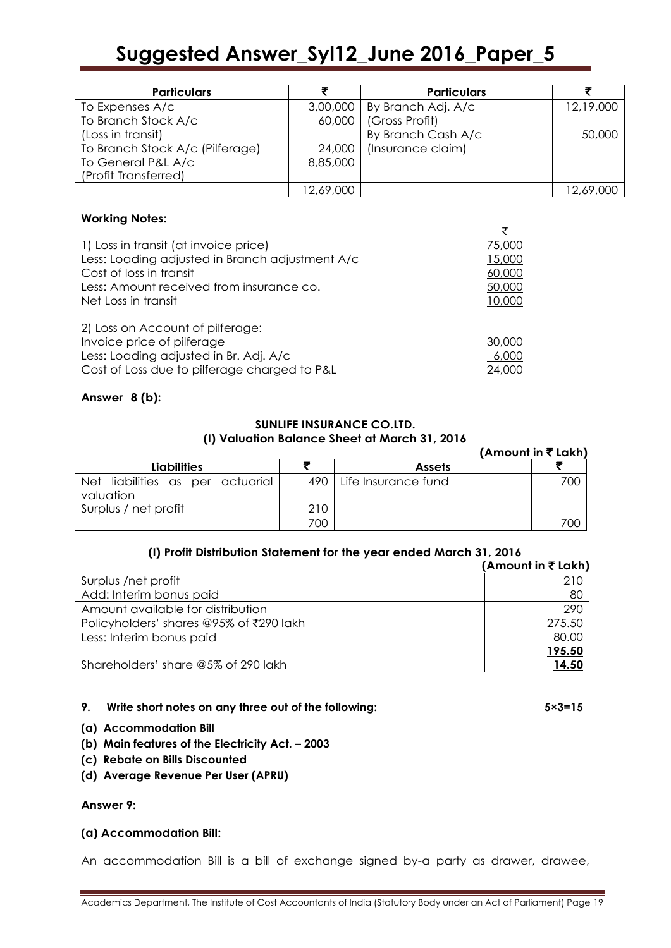| <b>Particulars</b>              |           | <b>Particulars</b>            |           |
|---------------------------------|-----------|-------------------------------|-----------|
| To Expenses A/c                 |           | 3,00,000   By Branch Adj. A/c | 12,19,000 |
| To Branch Stock A/c             |           | 60,000   (Gross Profit)       |           |
| (Loss in transit)               |           | By Branch Cash A/c            | 50,000    |
| To Branch Stock A/c (Pilferage) | 24,000    | (Insurance claim)             |           |
| To General P&L A/c              | 8,85,000  |                               |           |
| (Profit Transferred)            |           |                               |           |
|                                 | 12,69,000 |                               | 12,69,000 |

#### **Working Notes:**

| 1) Loss in transit (at invoice price)           | 75,000 |
|-------------------------------------------------|--------|
| Less: Loading adjusted in Branch adjustment A/c | 15,000 |
| Cost of loss in transit                         | 60,000 |
| Less: Amount received from insurance co.        | 50,000 |
| Net Loss in transit                             | 10,000 |
|                                                 |        |
| 2) Loss on Account of pilferage:                |        |
| Invoice price of pilferage                      | 30,000 |
| Less: Loading adjusted in Br. Adj. A/c          | 6,000  |
| Cost of Loss due to pilferage charged to P&L    | 24,000 |
|                                                 |        |

#### **Answer 8 (b):**

#### **SUNLIFE INSURANCE CO.LTD. (I) Valuation Balance Sheet at March 31, 2016**

|                                               |     |                           | (Amount in ₹ Lakh) |
|-----------------------------------------------|-----|---------------------------|--------------------|
| <b>Liabilities</b>                            |     | <b>Assets</b>             |                    |
| Net liabilities as per actuarial<br>valuation |     | 490   Life Insurance fund | 700                |
| Surplus / net profit                          | 210 |                           |                    |
|                                               | 700 |                           | 700                |

#### **(I) Profit Distribution Statement for the year ended March 31, 2016**

|                                         | (Amount in ₹ Lakh) |
|-----------------------------------------|--------------------|
| Surplus /net profit                     | 210                |
| Add: Interim bonus paid                 | 80                 |
| Amount available for distribution       | 290                |
| Policyholders' shares @95% of ₹290 lakh | 275.50             |
| Less: Interim bonus paid                | 80.00              |
|                                         | <u>195.50</u>      |
| Shareholders' share @5% of 290 lakh     | 14.50              |

#### **9. Write short notes on any three out of the following: 5×3=15**

- **(a) Accommodation Bill**
- **(b) Main features of the Electricity Act. – 2003**
- **(c) Rebate on Bills Discounted**
- **(d) Average Revenue Per User (APRU)**

#### **Answer 9:**

#### **(a) Accommodation Bill:**

An accommodation Bill is a bill of exchange signed by-a party as drawer, drawee,

 $\overline{z}$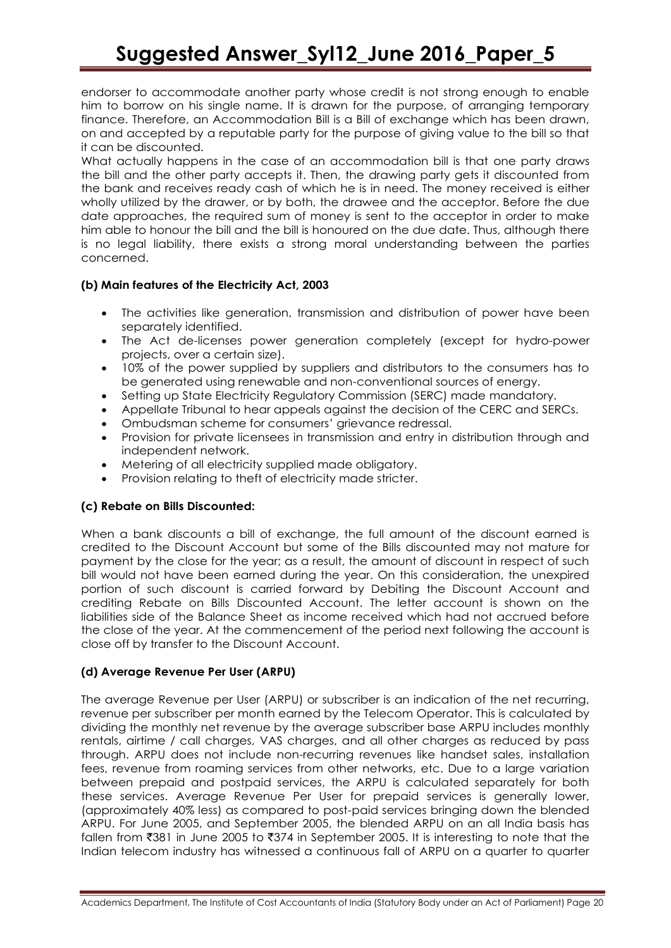endorser to accommodate another party whose credit is not strong enough to enable him to borrow on his single name. It is drawn for the purpose, of arranging temporary finance. Therefore, an Accommodation Bill is a Bill of exchange which has been drawn, on and accepted by a reputable party for the purpose of giving value to the bill so that it can be discounted.

What actually happens in the case of an accommodation bill is that one party draws the bill and the other party accepts it. Then, the drawing party gets it discounted from the bank and receives ready cash of which he is in need. The money received is either wholly utilized by the drawer, or by both, the drawee and the acceptor. Before the due date approaches, the required sum of money is sent to the acceptor in order to make him able to honour the bill and the bill is honoured on the due date. Thus, although there is no legal liability, there exists a strong moral understanding between the parties concerned.

#### **(b) Main features of the Electricity Act, 2003**

- The activities like generation, transmission and distribution of power have been separately identified.
- The Act de-licenses power generation completely (except for hydro-power projects, over a certain size).
- 10% of the power supplied by suppliers and distributors to the consumers has to be generated using renewable and non-conventional sources of energy.
- Setting up State Electricity Regulatory Commission (SERC) made mandatory.
- Appellate Tribunal to hear appeals against the decision of the CERC and SERCs.
- Ombudsman scheme for consumers' grievance redressal.
- Provision for private licensees in transmission and entry in distribution through and independent network.
- Metering of all electricity supplied made obligatory.
- Provision relating to theft of electricity made stricter.

#### **(c) Rebate on Bills Discounted:**

When a bank discounts a bill of exchange, the full amount of the discount earned is credited to the Discount Account but some of the Bills discounted may not mature for payment by the close for the year; as a result, the amount of discount in respect of such bill would not have been earned during the year. On this consideration, the unexpired portion of such discount is carried forward by Debiting the Discount Account and crediting Rebate on Bills Discounted Account. The letter account is shown on the liabilities side of the Balance Sheet as income received which had not accrued before the close of the year. At the commencement of the period next following the account is close off by transfer to the Discount Account.

#### **(d) Average Revenue Per User (ARPU)**

The average Revenue per User (ARPU) or subscriber is an indication of the net recurring, revenue per subscriber per month earned by the Telecom Operator. This is calculated by dividing the monthly net revenue by the average subscriber base ARPU includes monthly rentals, airtime / call charges, VAS charges, and all other charges as reduced by pass through. ARPU does not include non-recurring revenues like handset sales, installation fees, revenue from roaming services from other networks, etc. Due to a large variation between prepaid and postpaid services, the ARPU is calculated separately for both these services. Average Revenue Per User for prepaid services is generally lower, (approximately 40% less) as compared to post-paid services bringing down the blended ARPU. For June 2005, and September 2005, the blended ARPU on an all India basis has fallen from  $\overline{381}$  in June 2005 to  $\overline{374}$  in September 2005. It is interesting to note that the Indian telecom industry has witnessed a continuous fall of ARPU on a quarter to quarter